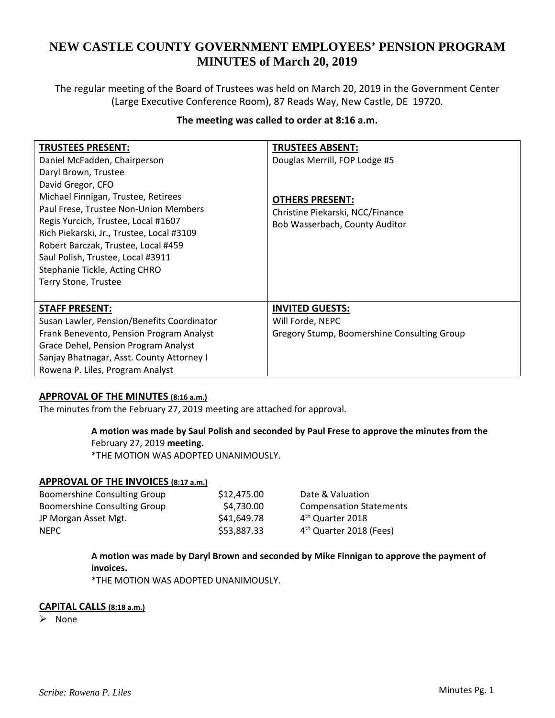# **NEW CASTLE COUNTY GOVERNMENT EMPLOYEES' PENSION PROGRAM MINUTES of March 20, 2019**

The regular meeting of the Board of Trustees was held on March 20, 2019 in the Government Center (Large Executive Conference Room), 87 Reads Way, New Castle, DE 19720.

# **The meeting was called to order at 8:16 a.m.**

| <b>TRUSTEES PRESENT:</b>                   | <b>TRUSTEES ABSENT:</b>                     |
|--------------------------------------------|---------------------------------------------|
| Daniel McFadden, Chairperson               | Douglas Merrill, FOP Lodge #5               |
| Daryl Brown, Trustee                       |                                             |
| David Gregor, CFO                          |                                             |
| Michael Finnigan, Trustee, Retirees        | <b>OTHERS PRESENT:</b>                      |
| Paul Frese, Trustee Non-Union Members      | Christine Piekarski, NCC/Finance            |
| Regis Yurcich, Trustee, Local #1607        | Bob Wasserbach, County Auditor              |
| Rich Piekarski, Jr., Trustee, Local #3109  |                                             |
| Robert Barczak, Trustee, Local #459        |                                             |
| Saul Polish, Trustee, Local #3911          |                                             |
| Stephanie Tickle, Acting CHRO              |                                             |
| Terry Stone, Trustee                       |                                             |
|                                            |                                             |
| <b>STAFF PRESENT:</b>                      | <b>INVITED GUESTS:</b>                      |
| Susan Lawler, Pension/Benefits Coordinator | Will Forde, NEPC                            |
| Frank Benevento, Pension Program Analyst   | Gregory Stump, Boomershine Consulting Group |
| Grace Dehel, Pension Program Analyst       |                                             |
| Sanjay Bhatnagar, Asst. County Attorney I  |                                             |
| Rowena P. Liles, Program Analyst           |                                             |

#### **APPROVAL OF THE MINUTES (8:16 a.m.)**

The minutes from the February 27, 2019 meeting are attached for approval.

#### **A motion was made by Saul Polish and seconded by Paul Frese to approve the minutes from the** February 27, 2019 **meeting.**

\*THE MOTION WAS ADOPTED UNANIMOUSLY.

#### **APPROVAL OF THE INVOICES (8:17 a.m.)**

| Boomershine Consulting Group | \$12,475.00 | Date & Valuation                    |
|------------------------------|-------------|-------------------------------------|
| Boomershine Consulting Group | \$4,730.00  | <b>Compensation Statements</b>      |
| JP Morgan Asset Mgt.         | \$41,649.78 | 4 <sup>th</sup> Quarter 2018        |
| <b>NEPC</b>                  | \$53,887.33 | 4 <sup>th</sup> Quarter 2018 (Fees) |

# **A motion was made by Daryl Brown and seconded by Mike Finnigan to approve the payment of invoices.**

\*THE MOTION WAS ADOPTED UNANIMOUSLY.

#### **CAPITAL CALLS (8:18 a.m.)**

None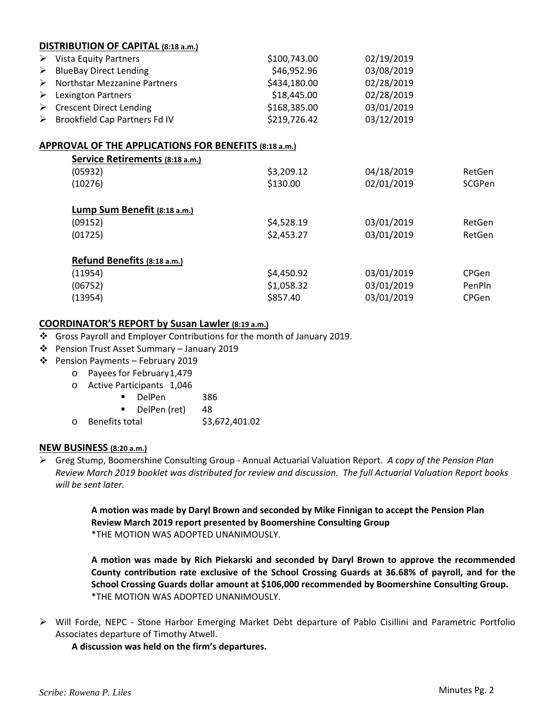| DISTRIBUTION OF CAPITAL (8:18 a.m.) |                                                |              |            |  |  |  |
|-------------------------------------|------------------------------------------------|--------------|------------|--|--|--|
|                                     | $\triangleright$ Vista Equity Partners         | \$100,743.00 | 02/19/2019 |  |  |  |
|                                     | $\triangleright$ BlueBay Direct Lending        | \$46,952.96  | 03/08/2019 |  |  |  |
|                                     | $\triangleright$ Northstar Mezzanine Partners  | \$434,180.00 | 02/28/2019 |  |  |  |
|                                     | $\triangleright$ Lexington Partners            | \$18,445.00  | 02/28/2019 |  |  |  |
|                                     | $\triangleright$ Crescent Direct Lending       | \$168,385.00 | 03/01/2019 |  |  |  |
|                                     | $\triangleright$ Brookfield Cap Partners Fd IV | \$219,726.42 | 03/12/2019 |  |  |  |

### **APPROVAL OF THE APPLICATIONS FOR BENEFITS (8:18 a.m.)**

| Service Retirements (8:18 a.m.) |            |            |        |  |  |  |
|---------------------------------|------------|------------|--------|--|--|--|
| (05932)                         | \$3,209.12 | 04/18/2019 | RetGen |  |  |  |
| (10276)                         | \$130.00   | 02/01/2019 | SCGPen |  |  |  |
|                                 |            |            |        |  |  |  |
| Lump Sum Benefit (8:18 a.m.)    |            |            |        |  |  |  |
| (09152)                         | \$4,528.19 | 03/01/2019 | RetGen |  |  |  |
| (01725)                         | \$2,453.27 | 03/01/2019 | RetGen |  |  |  |
|                                 |            |            |        |  |  |  |
| Refund Benefits (8:18 a.m.)     |            |            |        |  |  |  |
| (11954)                         | \$4,450.92 | 03/01/2019 | CPGen  |  |  |  |
| (06752)                         | \$1,058.32 | 03/01/2019 | PenPln |  |  |  |
| (13954)                         | \$857.40   | 03/01/2019 | CPGen  |  |  |  |
|                                 |            |            |        |  |  |  |

# **COORDINATOR'S REPORT by Susan Lawler (8:19 a.m.)**

- Gross Payroll and Employer Contributions for the month of January 2019.
- Pension Trust Asset Summary January 2019
- Pension Payments February 2019
	- o Payees for February1,479
	- o Active Participants 1,046
		- DelPen 386
		- **DelPen (ret)** 48
	- o Benefits total \$3,672,401.02

#### **NEW BUSINESS (8:20 a.m.)**

 Greg Stump, Boomershine Consulting Group ‐ Annual Actuarial Valuation Report. *A copy of the Pension Plan* Review March 2019 booklet was distributed for review and discussion. The full Actuarial Valuation Report books *will be sent later.*

> **A motion was made by Daryl Brown and seconded by Mike Finnigan to accept the Pension Plan Review March 2019 report presented by Boomershine Consulting Group** \*THE MOTION WAS ADOPTED UNANIMOUSLY.

**A motion was made by Rich Piekarski and seconded by Daryl Brown to approve the recommended County contribution rate exclusive of the School Crossing Guards at 36.68% of payroll, and for the School Crossing Guards dollar amount at \$106,000 recommended by Boomershine Consulting Group.** \*THE MOTION WAS ADOPTED UNANIMOUSLY.

 Will Forde, NEPC ‐ Stone Harbor Emerging Market Debt departure of Pablo Cisillini and Parametric Portfolio Associates departure of Timothy Atwell.

**A discussion was held on the firm's departures.**